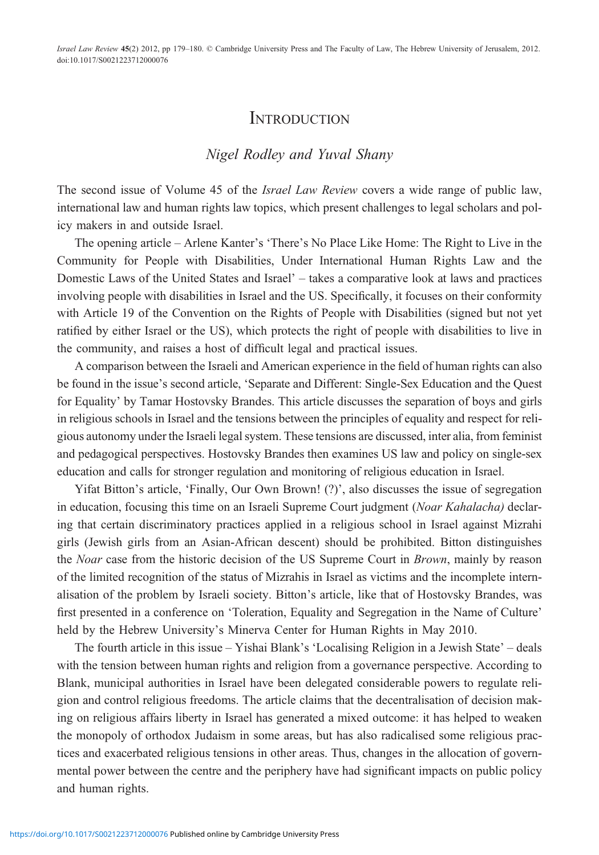Israel Law Review 45(2) 2012, pp 179–180. © Cambridge University Press and The Faculty of Law, The Hebrew University of Jerusalem, 2012. doi:10.1017/S0021223712000076

## **INTRODUCTION**

## Nigel Rodley and Yuval Shany

The second issue of Volume 45 of the *Israel Law Review* covers a wide range of public law, international law and human rights law topics, which present challenges to legal scholars and policy makers in and outside Israel.

The opening article – Arlene Kanter's 'There's No Place Like Home: The Right to Live in the Community for People with Disabilities, Under International Human Rights Law and the Domestic Laws of the United States and Israel' – takes a comparative look at laws and practices involving people with disabilities in Israel and the US. Specifically, it focuses on their conformity with Article 19 of the Convention on the Rights of People with Disabilities (signed but not yet ratified by either Israel or the US), which protects the right of people with disabilities to live in the community, and raises a host of difficult legal and practical issues.

A comparison between the Israeli and American experience in the field of human rights can also be found in the issue's second article, 'Separate and Different: Single-Sex Education and the Quest for Equality' by Tamar Hostovsky Brandes. This article discusses the separation of boys and girls in religious schools in Israel and the tensions between the principles of equality and respect for religious autonomy under the Israeli legal system. These tensions are discussed, inter alia, from feminist and pedagogical perspectives. Hostovsky Brandes then examines US law and policy on single-sex education and calls for stronger regulation and monitoring of religious education in Israel.

Yifat Bitton's article, 'Finally, Our Own Brown! (?)', also discusses the issue of segregation in education, focusing this time on an Israeli Supreme Court judgment (Noar Kahalacha) declaring that certain discriminatory practices applied in a religious school in Israel against Mizrahi girls (Jewish girls from an Asian-African descent) should be prohibited. Bitton distinguishes the *Noar* case from the historic decision of the US Supreme Court in *Brown*, mainly by reason of the limited recognition of the status of Mizrahis in Israel as victims and the incomplete internalisation of the problem by Israeli society. Bitton's article, like that of Hostovsky Brandes, was first presented in a conference on 'Toleration, Equality and Segregation in the Name of Culture' held by the Hebrew University's Minerva Center for Human Rights in May 2010.

The fourth article in this issue – Yishai Blank's 'Localising Religion in a Jewish State' – deals with the tension between human rights and religion from a governance perspective. According to Blank, municipal authorities in Israel have been delegated considerable powers to regulate religion and control religious freedoms. The article claims that the decentralisation of decision making on religious affairs liberty in Israel has generated a mixed outcome: it has helped to weaken the monopoly of orthodox Judaism in some areas, but has also radicalised some religious practices and exacerbated religious tensions in other areas. Thus, changes in the allocation of governmental power between the centre and the periphery have had significant impacts on public policy and human rights.